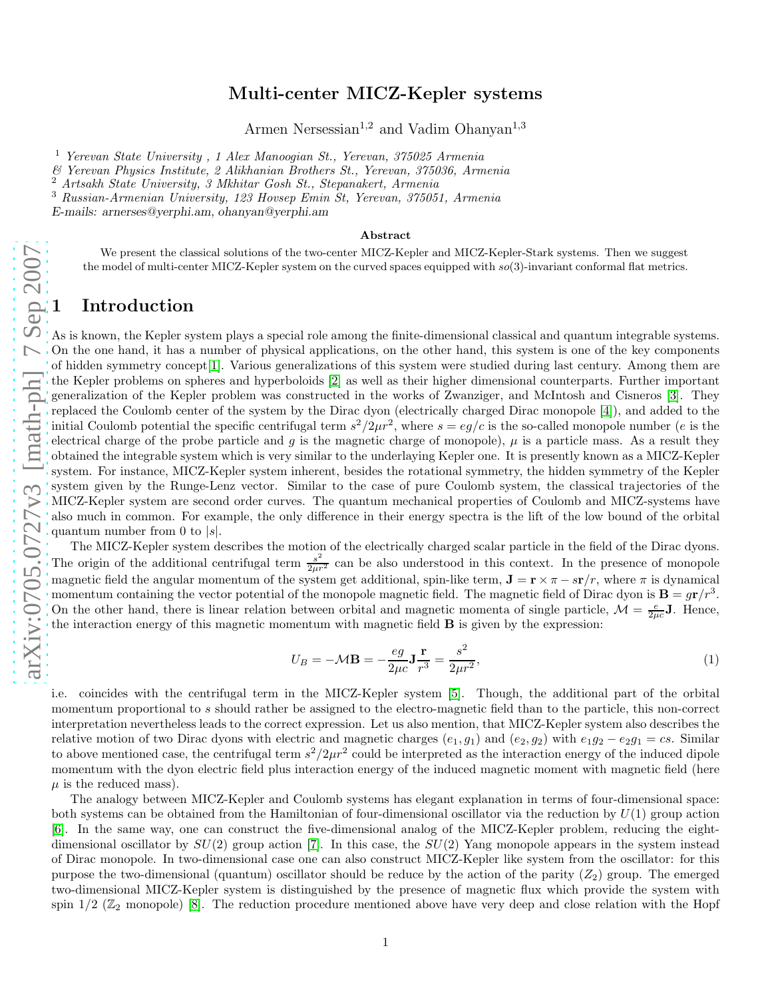# arXiv:0705.0727v3 [math-ph] 7 Sep 2007 [arXiv:0705.0727v3 \[math-ph\] 7 Sep 2007](http://arxiv.org/abs/0705.0727v3)

# Multi-center MICZ-Kepler systems

Armen Nersessian<sup>1,2</sup> and Vadim Ohanyan<sup>1,3</sup>

<sup>1</sup> Yerevan State University, 1 Alex Manooqian St., Yerevan, 375025 Armenia

& Yerevan Physics Institute, 2 Alikhanian Brothers St., Yerevan, 375036, Armenia

<sup>2</sup> Artsakh State University, 3 Mkhitar Gosh St., Stepanakert, Armenia

<sup>3</sup> Russian-Armenian University, 123 Hovsep Emin St, Yerevan, 375051, Armenia

*E-mails: arnerses@yerphi.am, ohanyan@yerphi.am*

### Abstract

We present the classical solutions of the two-center MICZ-Kepler and MICZ-Kepler-Stark systems. Then we suggest the model of multi-center MICZ-Kepler system on the curved spaces equipped with  $so(3)$ -invariant conformal flat metrics.

# **Introduction**

As is known, the Kepler system plays a special role among the finite-dimensional classical and quantum integrable systems. On the one hand, it has a number of physical applications, on the other hand, this system is one of the key components of hidden symmetry concept[\[1\]](#page-6-0). Various generalizations of this system were studied during last century. Among them are the Kepler problems on spheres and hyperboloids [\[2\]](#page-6-1) as well as their higher dimensional counterparts. Further important generalization of the Kepler problem was constructed in the works of Zwanziger, and McIntosh and Cisneros [\[3\]](#page-6-2). They replaced the Coulomb center of the system by the Dirac dyon (electrically charged Dirac monopole [\[4\]](#page-6-3)), and added to the initial Coulomb potential the specific centrifugal term  $s^2/2\mu r^2$ , where  $s = eg/c$  is the so-called monopole number (*e* is the electrical charge of the probe particle and g is the magnetic charge of monopole),  $\mu$  is a particle mass. As a result they obtained the integrable system which is very similar to the underlaying Kepler one. It is presently known as a MICZ-Kepler system. For instance, MICZ-Kepler system inherent, besides the rotational symmetry, the hidden symmetry of the Kepler system given by the Runge-Lenz vector. Similar to the case of pure Coulomb system, the classical trajectories of the MICZ-Kepler system are second order curves. The quantum mechanical properties of Coulomb and MICZ-systems have also much in common. For example, the only difference in their energy spectra is the lift of the low bound of the orbital quantum number from 0 to  $|s|$ .

The MICZ-Kepler system describes the motion of the electrically charged scalar particle in the field of the Dirac dyons. The origin of the additional centrifugal term  $\frac{s^2}{2\mu r^2}$  can be also understood in this context. In the presence of monopole magnetic field the angular momentum of the system get additional, spin-like term,  $\mathbf{J} = \mathbf{r} \times \pi - s\mathbf{r}/r$ , where  $\pi$  is dynamical momentum containing the vector potential of the monopole magnetic field. The magnetic field of Dirac dyon is  $B = gr/r<sup>3</sup>$ . On the other hand, there is linear relation between orbital and magnetic momenta of single particle,  $\mathcal{M} = \frac{e}{2\mu c} \mathbf{J}$ . Hence, the interaction energy of this magnetic momentum with magnetic field  $\bf{B}$  is given by the expression:

$$
U_B = -\mathcal{M}\mathbf{B} = -\frac{eg}{2\mu c}\mathbf{J}\frac{\mathbf{r}}{r^3} = \frac{s^2}{2\mu r^2},\tag{1}
$$

i.e. coincides with the centrifugal term in the MICZ-Kepler system [\[5\]](#page-6-4). Though, the additional part of the orbital momentum proportional to s should rather be assigned to the electro-magnetic field than to the particle, this non-correct interpretation nevertheless leads to the correct expression. Let us also mention, that MICZ-Kepler system also describes the relative motion of two Dirac dyons with electric and magnetic charges  $(e_1, g_1)$  and  $(e_2, g_2)$  with  $e_1g_2 - e_2g_1 = cs$ . Similar to above mentioned case, the centrifugal term  $s^2/2\mu r^2$  could be interpreted as the interaction energy of the induced dipole momentum with the dyon electric field plus interaction energy of the induced magnetic moment with magnetic field (here  $\mu$  is the reduced mass).

The analogy between MICZ-Kepler and Coulomb systems has elegant explanation in terms of four-dimensional space: both systems can be obtained from the Hamiltonian of four-dimensional oscillator via the reduction by  $U(1)$  group action [\[6\]](#page-6-5). In the same way, one can construct the five-dimensional analog of the MICZ-Kepler problem, reducing the eightdimensional oscillator by  $SU(2)$  group action [\[7\]](#page-6-6). In this case, the  $SU(2)$  Yang monopole appears in the system instead of Dirac monopole. In two-dimensional case one can also construct MICZ-Kepler like system from the oscillator: for this purpose the two-dimensional (quantum) oscillator should be reduce by the action of the parity  $(Z_2)$  group. The emerged two-dimensional MICZ-Kepler system is distinguished by the presence of magnetic flux which provide the system with spin  $1/2$  ( $\mathbb{Z}_2$  monopole) [\[8\]](#page-6-7). The reduction procedure mentioned above have very deep and close relation with the Hopf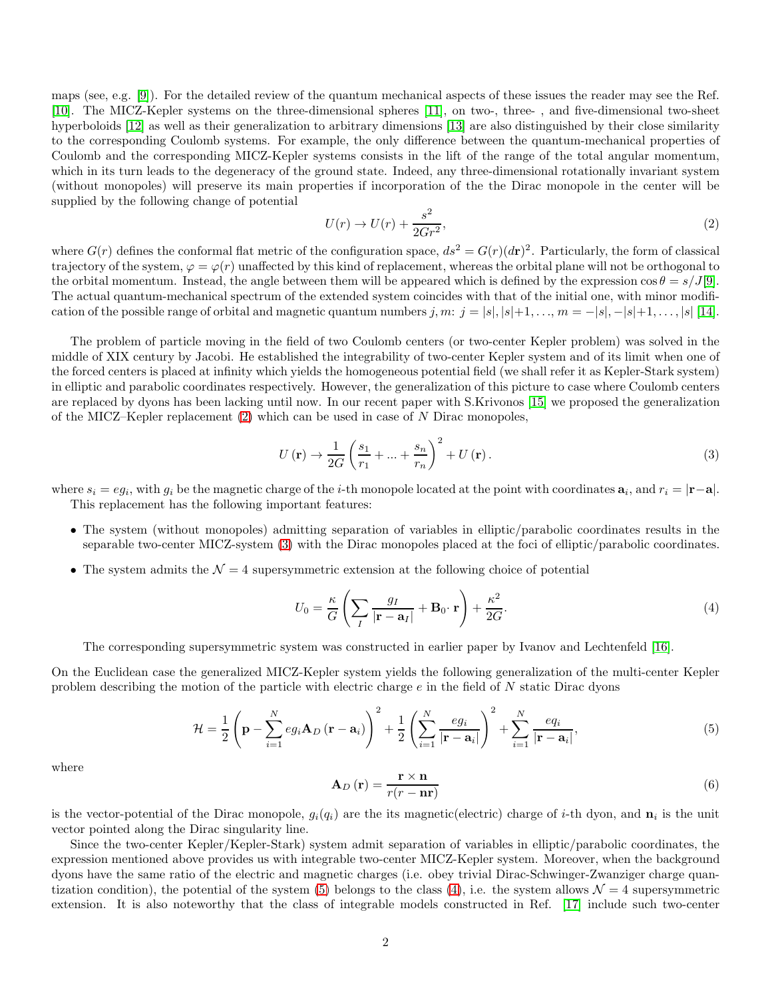maps (see, e.g. [\[9\]](#page-6-8)). For the detailed review of the quantum mechanical aspects of these issues the reader may see the Ref. [\[10\]](#page-6-9). The MICZ-Kepler systems on the three-dimensional spheres [\[11\]](#page-6-10), on two-, three- , and five-dimensional two-sheet hyperboloids [\[12\]](#page-6-11) as well as their generalization to arbitrary dimensions [\[13\]](#page-6-12) are also distinguished by their close similarity to the corresponding Coulomb systems. For example, the only difference between the quantum-mechanical properties of Coulomb and the corresponding MICZ-Kepler systems consists in the lift of the range of the total angular momentum, which in its turn leads to the degeneracy of the ground state. Indeed, any three-dimensional rotationally invariant system (without monopoles) will preserve its main properties if incorporation of the the Dirac monopole in the center will be supplied by the following change of potential

<span id="page-1-0"></span>
$$
U(r) \to U(r) + \frac{s^2}{2Gr^2},\tag{2}
$$

where  $G(r)$  defines the conformal flat metric of the configuration space,  $ds^2 = G(r)(dr)^2$ . Particularly, the form of classical trajectory of the system,  $\varphi = \varphi(r)$  unaffected by this kind of replacement, whereas the orbital plane will not be orthogonal to the orbital momentum. Instead, the angle between them will be appeared which is defined by the expression  $\cos \theta = s/J[9]$  $\cos \theta = s/J[9]$ . The actual quantum-mechanical spectrum of the extended system coincides with that of the initial one, with minor modification of the possible range of orbital and magnetic quantum numbers j, m:  $j = |s|, |s|+1, \ldots, m = -|s|, -|s|+1, \ldots, |s|$  [\[14\]](#page-6-13).

The problem of particle moving in the field of two Coulomb centers (or two-center Kepler problem) was solved in the middle of XIX century by Jacobi. He established the integrability of two-center Kepler system and of its limit when one of the forced centers is placed at infinity which yields the homogeneous potential field (we shall refer it as Kepler-Stark system) in elliptic and parabolic coordinates respectively. However, the generalization of this picture to case where Coulomb centers are replaced by dyons has been lacking until now. In our recent paper with S.Krivonos [\[15\]](#page-6-14) we proposed the generalization of the MICZ–Kepler replacement  $(2)$  which can be used in case of N Dirac monopoles,

<span id="page-1-1"></span>
$$
U\left(\mathbf{r}\right) \to \frac{1}{2G} \left(\frac{s_1}{r_1} + \dots + \frac{s_n}{r_n}\right)^2 + U\left(\mathbf{r}\right). \tag{3}
$$

where  $s_i = eg_i$ , with  $g_i$  be the magnetic charge of the *i*-th monopole located at the point with coordinates  $a_i$ , and  $r_i = |\mathbf{r}-\mathbf{a}|$ . This replacement has the following important features:

- The system (without monopoles) admitting separation of variables in elliptic/parabolic coordinates results in the separable two-center MICZ-system [\(3\)](#page-1-1) with the Dirac monopoles placed at the foci of elliptic/parabolic coordinates.
- The system admits the  $\mathcal{N}=4$  supersymmetric extension at the following choice of potential

<span id="page-1-3"></span>
$$
U_0 = \frac{\kappa}{G} \left( \sum_I \frac{g_I}{|\mathbf{r} - \mathbf{a}_I|} + \mathbf{B}_0 \cdot \mathbf{r} \right) + \frac{\kappa^2}{2G}.
$$
 (4)

The corresponding supersymmetric system was constructed in earlier paper by Ivanov and Lechtenfeld [\[16\]](#page-6-15).

On the Euclidean case the generalized MICZ-Kepler system yields the following generalization of the multi-center Kepler problem describing the motion of the particle with electric charge  $e$  in the field of  $N$  static Dirac dyons

<span id="page-1-2"></span>
$$
\mathcal{H} = \frac{1}{2} \left( \mathbf{p} - \sum_{i=1}^{N} e g_i \mathbf{A}_D (\mathbf{r} - \mathbf{a}_i) \right)^2 + \frac{1}{2} \left( \sum_{i=1}^{N} \frac{e g_i}{|\mathbf{r} - \mathbf{a}_i|} \right)^2 + \sum_{i=1}^{N} \frac{e q_i}{|\mathbf{r} - \mathbf{a}_i|},\tag{5}
$$

where

$$
\mathbf{A}_{D}\left(\mathbf{r}\right) = \frac{\mathbf{r} \times \mathbf{n}}{r(r - \mathbf{n}\mathbf{r})}
$$
\n(6)

is the vector-potential of the Dirac monopole,  $g_i(q_i)$  are the its magnetic(electric) charge of *i*-th dyon, and  $\mathbf{n}_i$  is the unit vector pointed along the Dirac singularity line.

Since the two-center Kepler/Kepler-Stark) system admit separation of variables in elliptic/parabolic coordinates, the expression mentioned above provides us with integrable two-center MICZ-Kepler system. Moreover, when the background dyons have the same ratio of the electric and magnetic charges (i.e. obey trivial Dirac-Schwinger-Zwanziger charge quan-tization condition), the potential of the system [\(5\)](#page-1-2) belongs to the class [\(4\)](#page-1-3), i.e. the system allows  $\mathcal{N}=4$  supersymmetric extension. It is also noteworthy that the class of integrable models constructed in Ref. [\[17\]](#page-6-16) include such two-center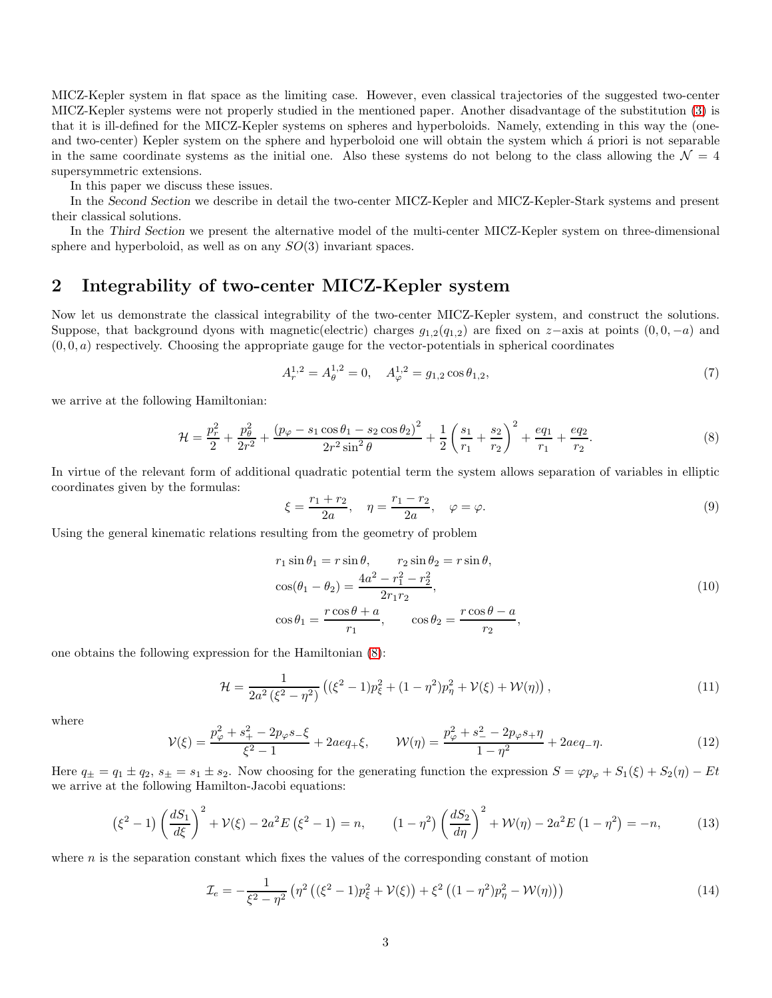MICZ-Kepler system in flat space as the limiting case. However, even classical trajectories of the suggested two-center MICZ-Kepler systems were not properly studied in the mentioned paper. Another disadvantage of the substitution [\(3\)](#page-1-1) is that it is ill-defined for the MICZ-Kepler systems on spheres and hyperboloids. Namely, extending in this way the (oneand two-center) Kepler system on the sphere and hyperboloid one will obtain the system which a priori is not separable in the same coordinate systems as the initial one. Also these systems do not belong to the class allowing the  $\mathcal{N} = 4$ supersymmetric extensions.

In this paper we discuss these issues.

In the *Second Section* we describe in detail the two-center MICZ-Kepler and MICZ-Kepler-Stark systems and present their classical solutions.

In the *Third Section* we present the alternative model of the multi-center MICZ-Kepler system on three-dimensional sphere and hyperboloid, as well as on any  $SO(3)$  invariant spaces.

# 2 Integrability of two-center MICZ-Kepler system

Now let us demonstrate the classical integrability of the two-center MICZ-Kepler system, and construct the solutions. Suppose, that background dyons with magnetic(electric) charges  $g_{1,2}(q_{1,2})$  are fixed on  $z$ -axis at points  $(0,0,-a)$  and  $(0, 0, a)$  respectively. Choosing the appropriate gauge for the vector-potentials in spherical coordinates

$$
A_r^{1,2} = A_\theta^{1,2} = 0, \quad A_\varphi^{1,2} = g_{1,2} \cos \theta_{1,2},\tag{7}
$$

we arrive at the following Hamiltonian:

<span id="page-2-0"></span>
$$
\mathcal{H} = \frac{p_r^2}{2} + \frac{p_\theta^2}{2r^2} + \frac{(p_\varphi - s_1 \cos \theta_1 - s_2 \cos \theta_2)^2}{2r^2 \sin^2 \theta} + \frac{1}{2} \left(\frac{s_1}{r_1} + \frac{s_2}{r_2}\right)^2 + \frac{eq_1}{r_1} + \frac{eq_2}{r_2}.\tag{8}
$$

In virtue of the relevant form of additional quadratic potential term the system allows separation of variables in elliptic coordinates given by the formulas:

$$
\xi = \frac{r_1 + r_2}{2a}, \quad \eta = \frac{r_1 - r_2}{2a}, \quad \varphi = \varphi.
$$
\n(9)

Using the general kinematic relations resulting from the geometry of problem

$$
r_1 \sin \theta_1 = r \sin \theta, \qquad r_2 \sin \theta_2 = r \sin \theta,
$$
  
\n
$$
\cos(\theta_1 - \theta_2) = \frac{4a^2 - r_1^2 - r_2^2}{2r_1r_2},
$$
  
\n
$$
\cos \theta_1 = \frac{r \cos \theta + a}{r_1}, \qquad \cos \theta_2 = \frac{r \cos \theta - a}{r_2},
$$
\n(10)

one obtains the following expression for the Hamiltonian [\(8\)](#page-2-0):

$$
\mathcal{H} = \frac{1}{2a^2(\xi^2 - \eta^2)} \left( (\xi^2 - 1)p_{\xi}^2 + (1 - \eta^2)p_{\eta}^2 + \mathcal{V}(\xi) + \mathcal{W}(\eta) \right),\tag{11}
$$

where

<span id="page-2-2"></span>
$$
\mathcal{V}(\xi) = \frac{p_{\varphi}^2 + s_+^2 - 2p_{\varphi}s_-\xi}{\xi^2 - 1} + 2aeq_+\xi, \qquad \mathcal{W}(\eta) = \frac{p_{\varphi}^2 + s_-^2 - 2p_{\varphi}s_+\eta}{1 - \eta^2} + 2aeq_-\eta. \tag{12}
$$

Here  $q_{\pm} = q_1 \pm q_2$ ,  $s_{\pm} = s_1 \pm s_2$ . Now choosing for the generating function the expression  $S = \varphi p_{\varphi} + S_1(\xi) + S_2(\eta) - Et$ we arrive at the following Hamilton-Jacobi equations:

<span id="page-2-1"></span>
$$
\left(\xi^2 - 1\right) \left(\frac{dS_1}{d\xi}\right)^2 + \mathcal{V}(\xi) - 2a^2 E \left(\xi^2 - 1\right) = n, \qquad \left(1 - \eta^2\right) \left(\frac{dS_2}{d\eta}\right)^2 + \mathcal{W}(\eta) - 2a^2 E \left(1 - \eta^2\right) = -n,\tag{13}
$$

where  $n$  is the separation constant which fixes the values of the corresponding constant of motion

$$
\mathcal{I}_e = -\frac{1}{\xi^2 - \eta^2} \left( \eta^2 \left( (\xi^2 - 1) p_{\xi}^2 + \mathcal{V}(\xi) \right) + \xi^2 \left( (1 - \eta^2) p_{\eta}^2 - \mathcal{W}(\eta) \right) \right) \tag{14}
$$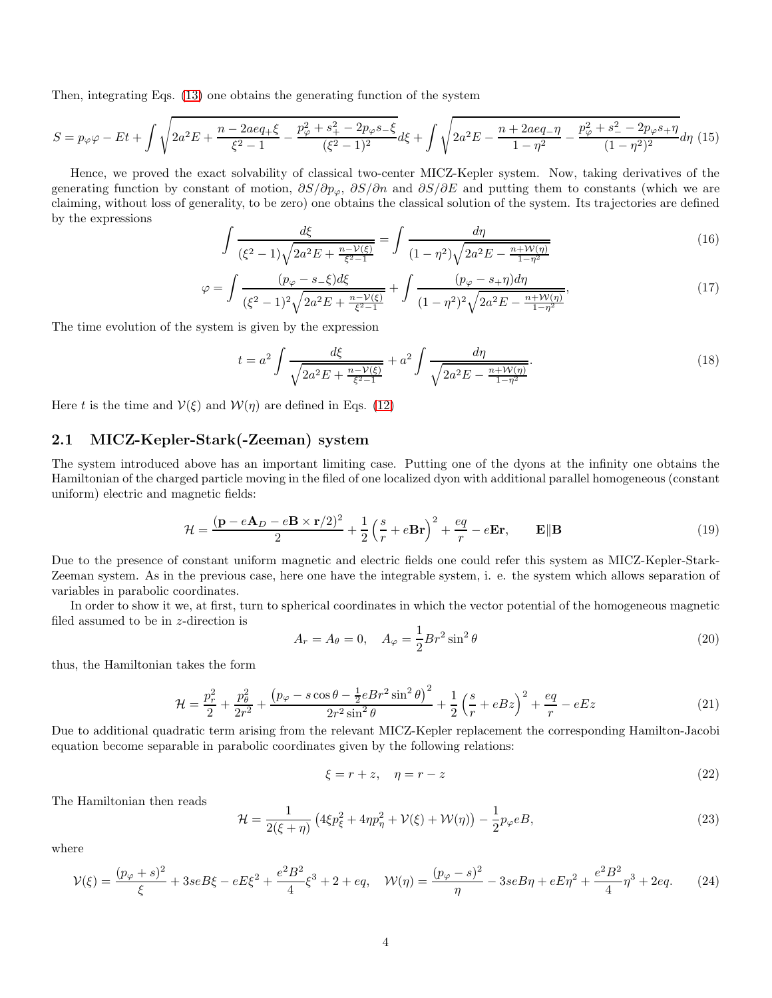Then, integrating Eqs. [\(13\)](#page-2-1) one obtains the generating function of the system

$$
S = p_{\varphi}\varphi - Et + \int \sqrt{2a^2E + \frac{n - 2aeq_+ \xi}{\xi^2 - 1} - \frac{p_{\varphi}^2 + s_+^2 - 2p_{\varphi}s_- \xi}{(\xi^2 - 1)^2}} d\xi + \int \sqrt{2a^2E - \frac{n + 2aeq_- \eta}{1 - \eta^2} - \frac{p_{\varphi}^2 + s_-^2 - 2p_{\varphi}s_+ \eta}{(1 - \eta^2)^2}} d\eta
$$
(15)

Hence, we proved the exact solvability of classical two-center MICZ-Kepler system. Now, taking derivatives of the generating function by constant of motion,  $\partial S/\partial p_{\varphi}$ ,  $\partial S/\partial n$  and  $\partial S/\partial E$  and putting them to constants (which we are claiming, without loss of generality, to be zero) one obtains the classical solution of the system. Its trajectories are defined by the expressions

$$
\int \frac{d\xi}{(\xi^2 - 1)\sqrt{2a^2E + \frac{n - V(\xi)}{\xi^2 - 1}}} = \int \frac{d\eta}{(1 - \eta^2)\sqrt{2a^2E - \frac{n + W(\eta)}{1 - \eta^2}}}
$$
(16)

$$
\varphi = \int \frac{(p_{\varphi} - s_{-} \xi)d\xi}{(\xi^2 - 1)^2 \sqrt{2a^2 E + \frac{n - V(\xi)}{\xi^2 - 1}}} + \int \frac{(p_{\varphi} - s_{+} \eta)d\eta}{(1 - \eta^2)^2 \sqrt{2a^2 E - \frac{n + \mathcal{W}(\eta)}{1 - \eta^2}}},\tag{17}
$$

The time evolution of the system is given by the expression

$$
t = a^2 \int \frac{d\xi}{\sqrt{2a^2 E + \frac{n - \mathcal{V}(\xi)}{\xi^2 - 1}}} + a^2 \int \frac{d\eta}{\sqrt{2a^2 E - \frac{n + \mathcal{W}(\eta)}{1 - \eta^2}}}.
$$
(18)

Here t is the time and  $V(\xi)$  and  $W(\eta)$  are defined in Eqs. [\(12\)](#page-2-2)

## 2.1 MICZ-Kepler-Stark(-Zeeman) system

The system introduced above has an important limiting case. Putting one of the dyons at the infinity one obtains the Hamiltonian of the charged particle moving in the filed of one localized dyon with additional parallel homogeneous (constant uniform) electric and magnetic fields:

$$
\mathcal{H} = \frac{(\mathbf{p} - e\mathbf{A}_D - e\mathbf{B} \times \mathbf{r}/2)^2}{2} + \frac{1}{2} \left(\frac{s}{r} + e\mathbf{B}\mathbf{r}\right)^2 + \frac{eq}{r} - e\mathbf{E}\mathbf{r}, \qquad \mathbf{E} \|\mathbf{B}
$$
\n(19)

Due to the presence of constant uniform magnetic and electric fields one could refer this system as MICZ-Kepler-Stark-Zeeman system. As in the previous case, here one have the integrable system, i. e. the system which allows separation of variables in parabolic coordinates.

In order to show it we, at first, turn to spherical coordinates in which the vector potential of the homogeneous magnetic filed assumed to be in z-direction is

$$
A_r = A_\theta = 0, \quad A_\varphi = \frac{1}{2} B r^2 \sin^2 \theta \tag{20}
$$

thus, the Hamiltonian takes the form

$$
\mathcal{H} = \frac{p_r^2}{2} + \frac{p_\theta^2}{2r^2} + \frac{\left(p_\varphi - s\cos\theta - \frac{1}{2}eBr^2\sin^2\theta\right)^2}{2r^2\sin^2\theta} + \frac{1}{2}\left(\frac{s}{r} + eBz\right)^2 + \frac{eq}{r} - eEz\tag{21}
$$

Due to additional quadratic term arising from the relevant MICZ-Kepler replacement the corresponding Hamilton-Jacobi equation become separable in parabolic coordinates given by the following relations:

$$
\xi = r + z, \quad \eta = r - z \tag{22}
$$

The Hamiltonian then reads

<span id="page-3-0"></span>
$$
\mathcal{H} = \frac{1}{2(\xi + \eta)} \left( 4\xi p_{\xi}^2 + 4\eta p_{\eta}^2 + \mathcal{V}(\xi) + \mathcal{W}(\eta) \right) - \frac{1}{2} p_{\varphi} eB,
$$
\n(23)

where

<span id="page-3-1"></span>
$$
\mathcal{V}(\xi) = \frac{(p_{\varphi} + s)^2}{\xi} + 3seB\xi - eE\xi^2 + \frac{e^2B^2}{4}\xi^3 + 2 + eq, \quad \mathcal{W}(\eta) = \frac{(p_{\varphi} - s)^2}{\eta} - 3seB\eta + eE\eta^2 + \frac{e^2B^2}{4}\eta^3 + 2eq. \tag{24}
$$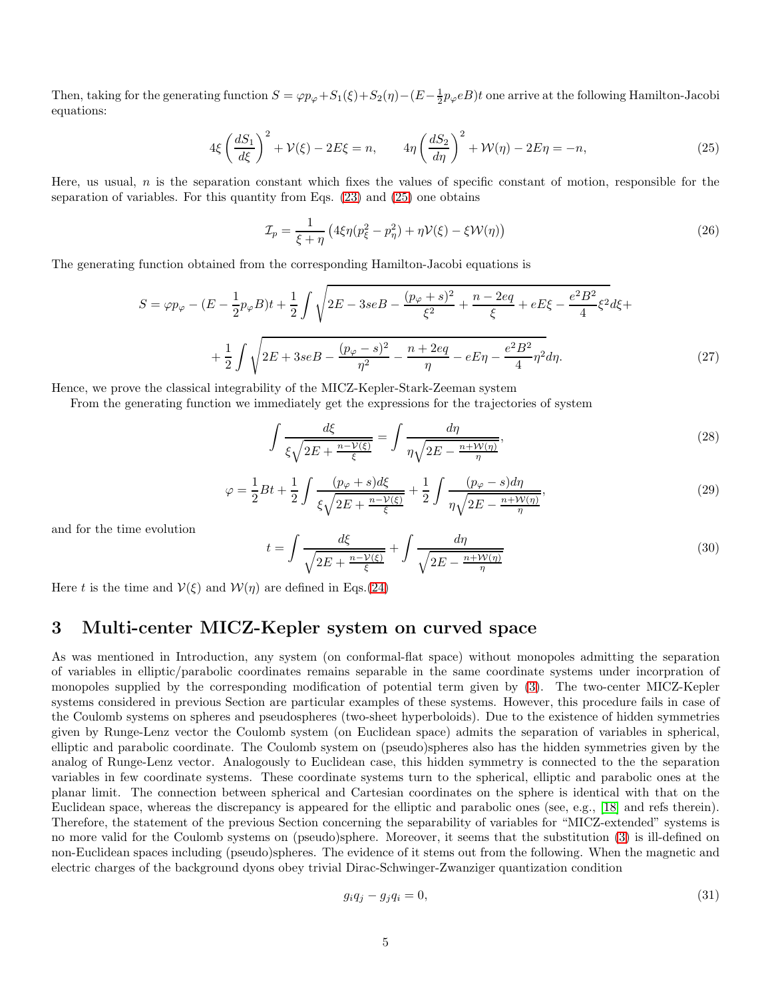Then, taking for the generating function  $S = \varphi p_{\varphi} + S_1(\xi) + S_2(\eta) - (E - \frac{1}{2}p_{\varphi}eB)t$  one arrive at the following Hamilton-Jacobi equations:

<span id="page-4-0"></span>
$$
4\xi \left(\frac{dS_1}{d\xi}\right)^2 + \mathcal{V}(\xi) - 2E\xi = n, \qquad 4\eta \left(\frac{dS_2}{d\eta}\right)^2 + \mathcal{W}(\eta) - 2E\eta = -n,\tag{25}
$$

Here, us usual,  $n$  is the separation constant which fixes the values of specific constant of motion, responsible for the separation of variables. For this quantity from Eqs. [\(23\)](#page-3-0) and [\(25\)](#page-4-0) one obtains

$$
\mathcal{I}_p = \frac{1}{\xi + \eta} \left( 4\xi \eta (p_\xi^2 - p_\eta^2) + \eta \mathcal{V}(\xi) - \xi \mathcal{W}(\eta) \right)
$$
\n(26)

The generating function obtained from the corresponding Hamilton-Jacobi equations is

$$
S = \varphi p_{\varphi} - (E - \frac{1}{2}p_{\varphi}B)t + \frac{1}{2}\int \sqrt{2E - 3seB - \frac{(p_{\varphi} + s)^2}{\xi^2} + \frac{n - 2eq}{\xi} + eE\xi - \frac{e^2B^2}{4}\xi^2}d\xi +
$$

$$
+ \frac{1}{2}\int \sqrt{2E + 3seB - \frac{(p_{\varphi} - s)^2}{\eta^2} - \frac{n + 2eq}{\eta} - eE\eta - \frac{e^2B^2}{4}\eta^2}d\eta.
$$
(27)

Hence, we prove the classical integrability of the MICZ-Kepler-Stark-Zeeman system

From the generating function we immediately get the expressions for the trajectories of system

$$
\int \frac{d\xi}{\xi \sqrt{2E + \frac{n - \mathcal{V}(\xi)}{\xi}}} = \int \frac{d\eta}{\eta \sqrt{2E - \frac{n + \mathcal{W}(\eta)}{\eta}}},\tag{28}
$$

$$
\varphi = \frac{1}{2}Bt + \frac{1}{2}\int \frac{(p_{\varphi} + s)d\xi}{\xi\sqrt{2E + \frac{n - V(\xi)}{\xi}}} + \frac{1}{2}\int \frac{(p_{\varphi} - s)d\eta}{\eta\sqrt{2E - \frac{n + W(\eta)}{\eta}}},\tag{29}
$$

and for the time evolution

$$
t = \int \frac{d\xi}{\sqrt{2E + \frac{n - \mathcal{V}(\xi)}{\xi}}} + \int \frac{d\eta}{\sqrt{2E - \frac{n + \mathcal{W}(\eta)}{\eta}}}
$$
(30)

Here t is the time and  $V(\xi)$  and  $W(\eta)$  are defined in Eqs.[\(24\)](#page-3-1)

# 3 Multi-center MICZ-Kepler system on curved space

As was mentioned in Introduction, any system (on conformal-flat space) without monopoles admitting the separation of variables in elliptic/parabolic coordinates remains separable in the same coordinate systems under incorpration of monopoles supplied by the corresponding modification of potential term given by [\(3\)](#page-1-1). The two-center MICZ-Kepler systems considered in previous Section are particular examples of these systems. However, this procedure fails in case of the Coulomb systems on spheres and pseudospheres (two-sheet hyperboloids). Due to the existence of hidden symmetries given by Runge-Lenz vector the Coulomb system (on Euclidean space) admits the separation of variables in spherical, elliptic and parabolic coordinate. The Coulomb system on (pseudo)spheres also has the hidden symmetries given by the analog of Runge-Lenz vector. Analogously to Euclidean case, this hidden symmetry is connected to the the separation variables in few coordinate systems. These coordinate systems turn to the spherical, elliptic and parabolic ones at the planar limit. The connection between spherical and Cartesian coordinates on the sphere is identical with that on the Euclidean space, whereas the discrepancy is appeared for the elliptic and parabolic ones (see, e.g., [\[18\]](#page-6-17) and refs therein). Therefore, the statement of the previous Section concerning the separability of variables for "MICZ-extended" systems is no more valid for the Coulomb systems on (pseudo)sphere. Moreover, it seems that the substitution [\(3\)](#page-1-1) is ill-defined on non-Euclidean spaces including (pseudo)spheres. The evidence of it stems out from the following. When the magnetic and electric charges of the background dyons obey trivial Dirac-Schwinger-Zwanziger quantization condition

<span id="page-4-1"></span>
$$
g_i q_j - g_j q_i = 0,\t\t(31)
$$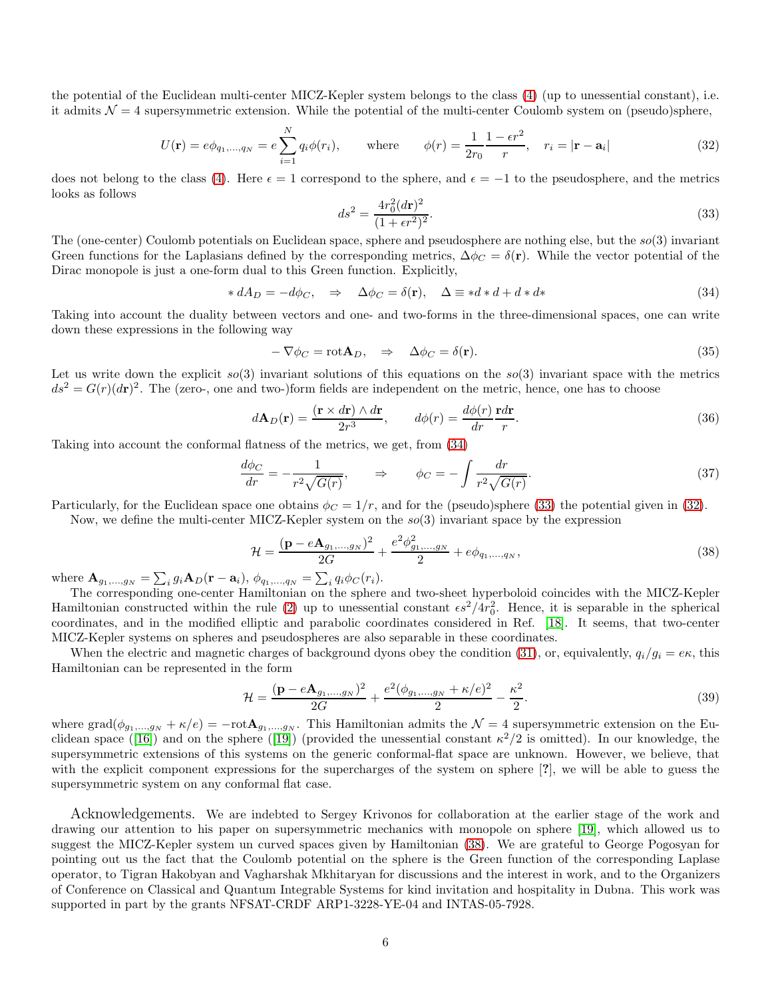the potential of the Euclidean multi-center MICZ-Kepler system belongs to the class [\(4\)](#page-1-3) (up to unessential constant), i.e. it admits  $\mathcal{N} = 4$  supersymmetric extension. While the potential of the multi-center Coulomb system on (pseudo)sphere,

<span id="page-5-2"></span>
$$
U(\mathbf{r}) = e\phi_{q_1,...,q_N} = e\sum_{i=1}^N q_i \phi(r_i), \quad \text{where} \quad \phi(r) = \frac{1}{2r_0} \frac{1 - \epsilon r^2}{r}, \quad r_i = |\mathbf{r} - \mathbf{a}_i|
$$
 (32)

does not belong to the class [\(4\)](#page-1-3). Here  $\epsilon = 1$  correspond to the sphere, and  $\epsilon = -1$  to the pseudosphere, and the metrics looks as follows

<span id="page-5-1"></span>
$$
ds^2 = \frac{4r_0^2(dr)^2}{(1+er^2)^2}.
$$
\n(33)

The (one-center) Coulomb potentials on Euclidean space, sphere and pseudosphere are nothing else, but the  $so(3)$  invariant Green functions for the Laplasians defined by the corresponding metrics,  $\Delta \phi_C = \delta(\mathbf{r})$ . While the vector potential of the Dirac monopole is just a one-form dual to this Green function. Explicitly,

<span id="page-5-0"></span>
$$
* dA_D = -d\phi_C, \Rightarrow \Delta\phi_C = \delta(\mathbf{r}), \Delta \equiv *d * d + d * d*
$$
\n(34)

Taking into account the duality between vectors and one- and two-forms in the three-dimensional spaces, one can write down these expressions in the following way

$$
-\nabla \phi_C = \text{rot}\mathbf{A}_D, \quad \Rightarrow \quad \Delta \phi_C = \delta(\mathbf{r}).\tag{35}
$$

Let us write down the explicit  $so(3)$  invariant solutions of this equations on the  $so(3)$  invariant space with the metrics  $ds^2 = G(r)(dr)^2$ . The (zero-, one and two-)form fields are independent on the metric, hence, one has to choose

$$
d\mathbf{A}_D(\mathbf{r}) = \frac{(\mathbf{r} \times d\mathbf{r}) \wedge d\mathbf{r}}{2r^3}, \qquad d\phi(r) = \frac{d\phi(r)}{dr} \frac{\mathbf{r}d\mathbf{r}}{r}.
$$
 (36)

Taking into account the conformal flatness of the metrics, we get, from [\(34\)](#page-5-0)

$$
\frac{d\phi_C}{dr} = -\frac{1}{r^2\sqrt{G(r)}}, \qquad \Rightarrow \qquad \phi_C = -\int \frac{dr}{r^2\sqrt{G(r)}}.
$$
\n(37)

Particularly, for the Euclidean space one obtains  $\phi_C = 1/r$ , and for the (pseudo)sphere [\(33\)](#page-5-1) the potential given in [\(32\)](#page-5-2).

Now, we define the multi-center MICZ-Kepler system on the  $so(3)$  invariant space by the expression

<span id="page-5-3"></span>
$$
\mathcal{H} = \frac{(\mathbf{p} - e\mathbf{A}_{g_1,\dots,g_N})^2}{2G} + \frac{e^2 \phi_{g_1,\dots,g_N}^2}{2} + e\phi_{q_1,\dots,q_N},\tag{38}
$$

where  ${\bf A}_{g_1,...,g_N} = \sum_i g_i {\bf A}_D({\bf r} - {\bf a}_i), \phi_{q_1,...,q_N} = \sum_i q_i \phi_C(r_i)$ .

The corresponding one-center Hamiltonian on the sphere and two-sheet hyperboloid coincides with the MICZ-Kepler Hamiltonian constructed within the rule [\(2\)](#page-1-0) up to unessential constant  $\epsilon s^2/4r_0^2$ . Hence, it is separable in the spherical coordinates, and in the modified elliptic and parabolic coordinates considered in Ref. [\[18\]](#page-6-17). It seems, that two-center MICZ-Kepler systems on spheres and pseudospheres are also separable in these coordinates.

When the electric and magnetic charges of background dyons obey the condition [\(31\)](#page-4-1), or, equivalently,  $q_i/g_i = e\kappa$ , this Hamiltonian can be represented in the form

$$
\mathcal{H} = \frac{(\mathbf{p} - e\mathbf{A}_{g_1,\dots,g_N})^2}{2G} + \frac{e^2(\phi_{g_1,\dots,g_N} + \kappa/e)^2}{2} - \frac{\kappa^2}{2}.
$$
\n(39)

where  $\text{grad}(\phi_{g_1,...,g_N} + \kappa/e) = -\text{rot}\mathbf{A}_{g_1,...,g_N}$ . This Hamiltonian admits the  $\mathcal{N} = 4$  supersymmetric extension on the Eu-clidean space ([\[16\]](#page-6-15)) and on the sphere ([\[19\]](#page-6-18)) (provided the unessential constant  $\kappa^2/2$  is omitted). In our knowledge, the supersymmetric extensions of this systems on the generic conformal-flat space are unknown. However, we believe, that with the explicit component expressions for the supercharges of the system on sphere [?], we will be able to guess the supersymmetric system on any conformal flat case.

Acknowledgements. We are indebted to Sergey Krivonos for collaboration at the earlier stage of the work and drawing our attention to his paper on supersymmetric mechanics with monopole on sphere [\[19\]](#page-6-18), which allowed us to suggest the MICZ-Kepler system un curved spaces given by Hamiltonian [\(38\)](#page-5-3). We are grateful to George Pogosyan for pointing out us the fact that the Coulomb potential on the sphere is the Green function of the corresponding Laplase operator, to Tigran Hakobyan and Vagharshak Mkhitaryan for discussions and the interest in work, and to the Organizers of Conference on Classical and Quantum Integrable Systems for kind invitation and hospitality in Dubna. This work was supported in part by the grants NFSAT-CRDF ARP1-3228-YE-04 and INTAS-05-7928.